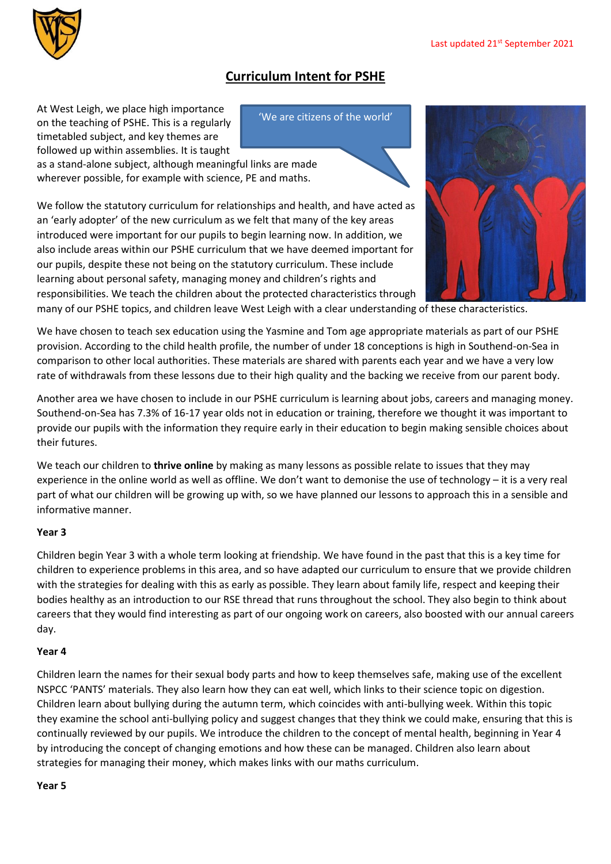## **Curriculum Intent for PSHE**

'We are citizens of the world'

At West Leigh, we place high importance on the teaching of PSHE. This is a regularly timetabled subject, and key themes are followed up within assemblies. It is taught

as a stand-alone subject, although meaningful links are made wherever possible, for example with science, PE and maths.

We follow the statutory curriculum for relationships and health, and have acted as an 'early adopter' of the new curriculum as we felt that many of the key areas introduced were important for our pupils to begin learning now. In addition, we also include areas within our PSHE curriculum that we have deemed important for our pupils, despite these not being on the statutory curriculum. These include learning about personal safety, managing money and children's rights and responsibilities. We teach the children about the protected characteristics through



many of our PSHE topics, and children leave West Leigh with a clear understanding of these characteristics.

We have chosen to teach sex education using the Yasmine and Tom age appropriate materials as part of our PSHE provision. According to the child health profile, the number of under 18 conceptions is high in Southend-on-Sea in comparison to other local authorities. These materials are shared with parents each year and we have a very low rate of withdrawals from these lessons due to their high quality and the backing we receive from our parent body.

Another area we have chosen to include in our PSHE curriculum is learning about jobs, careers and managing money. Southend-on-Sea has 7.3% of 16-17 year olds not in education or training, therefore we thought it was important to provide our pupils with the information they require early in their education to begin making sensible choices about their futures.

We teach our children to **thrive online** by making as many lessons as possible relate to issues that they may experience in the online world as well as offline. We don't want to demonise the use of technology – it is a very real part of what our children will be growing up with, so we have planned our lessons to approach this in a sensible and informative manner.

## **Year 3**

Children begin Year 3 with a whole term looking at friendship. We have found in the past that this is a key time for children to experience problems in this area, and so have adapted our curriculum to ensure that we provide children with the strategies for dealing with this as early as possible. They learn about family life, respect and keeping their bodies healthy as an introduction to our RSE thread that runs throughout the school. They also begin to think about careers that they would find interesting as part of our ongoing work on careers, also boosted with our annual careers day.

## **Year 4**

Children learn the names for their sexual body parts and how to keep themselves safe, making use of the excellent NSPCC 'PANTS' materials. They also learn how they can eat well, which links to their science topic on digestion. Children learn about bullying during the autumn term, which coincides with anti-bullying week. Within this topic they examine the school anti-bullying policy and suggest changes that they think we could make, ensuring that this is continually reviewed by our pupils. We introduce the children to the concept of mental health, beginning in Year 4 by introducing the concept of changing emotions and how these can be managed. Children also learn about strategies for managing their money, which makes links with our maths curriculum.